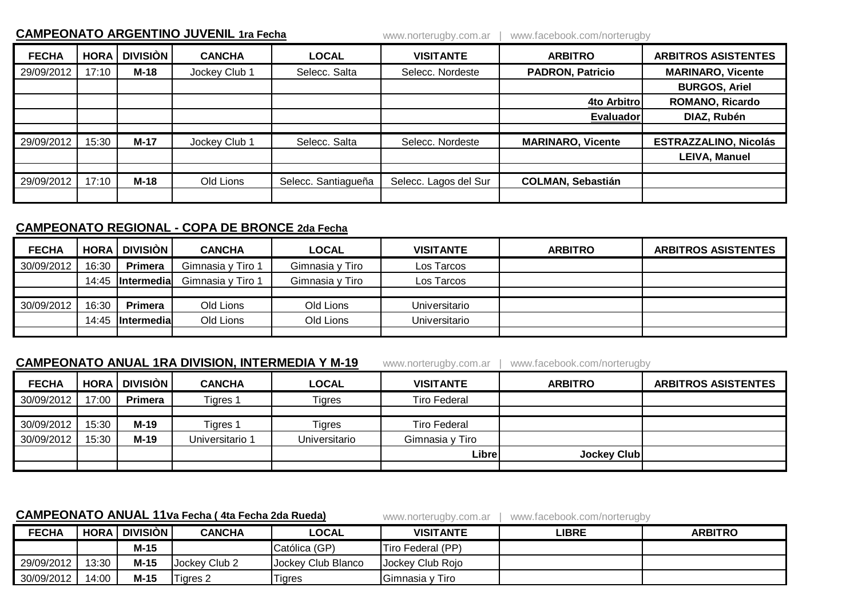| <b>CAMPEONATO ARGENTINO JUVENIL 1ra Fecha</b> |             |                 |               |                     | www.norterugby.com.ar | www.facebook.com/norterugby |                              |  |
|-----------------------------------------------|-------------|-----------------|---------------|---------------------|-----------------------|-----------------------------|------------------------------|--|
| <b>FECHA</b>                                  | <b>HORA</b> | <b>DIVISIÓN</b> | <b>CANCHA</b> | <b>LOCAL</b>        | <b>VISITANTE</b>      | <b>ARBITRO</b>              | <b>ARBITROS ASISTENTES</b>   |  |
| 29/09/2012                                    | 17:10       | $M-18$          | Jockey Club 1 | Selecc. Salta       | Selecc. Nordeste      | <b>PADRON, Patricio</b>     | <b>MARINARO, Vicente</b>     |  |
|                                               |             |                 |               |                     |                       |                             | <b>BURGOS, Ariel</b>         |  |
|                                               |             |                 |               |                     |                       | 4to Arbitro                 | <b>ROMANO, Ricardo</b>       |  |
|                                               |             |                 |               |                     |                       | <b>Evaluador</b>            | DIAZ, Rubén                  |  |
|                                               |             |                 |               |                     |                       |                             |                              |  |
| 29/09/2012                                    | 15:30       | $M-17$          | Jockey Club 1 | Selecc. Salta       | Selecc. Nordeste      | <b>MARINARO, Vicente</b>    | <b>ESTRAZZALINO, Nicolás</b> |  |
|                                               |             |                 |               |                     |                       |                             | <b>LEIVA, Manuel</b>         |  |
|                                               |             |                 |               |                     |                       |                             |                              |  |
| 29/09/2012                                    | 17:10       | $M-18$          | Old Lions     | Selecc. Santiagueña | Selecc. Lagos del Sur | <b>COLMAN, Sebastián</b>    |                              |  |
|                                               |             |                 |               |                     |                       |                             |                              |  |

## **CAMPEONATO REGIONAL - COPA DE BRONCE 2da Fecha**

| <b>FECHA</b> | <b>HORA</b> | <b>DIVISIÓN</b>    | <b>CANCHA</b>     | <b>LOCAL</b>    | <b>VISITANTE</b> | <b>ARBITRO</b> | <b>ARBITROS ASISTENTES</b> |
|--------------|-------------|--------------------|-------------------|-----------------|------------------|----------------|----------------------------|
| 30/09/2012   | 16:30       | Primera            | Gimnasia y Tiro 1 | Gimnasia y Tiro | Los Tarcos       |                |                            |
|              | 14:45       | <b>Intermedia</b>  | Gimnasia y Tiro 1 | Gimnasia y Tiro | Los Tarcos       |                |                            |
|              |             |                    |                   |                 |                  |                |                            |
| 30/09/2012   | 16:30       | Primera            | Old Lions         | Old Lions       | Universitario    |                |                            |
|              | 14:45       | <b>Intermedial</b> | Old Lions         | Old Lions       | Universitario    |                |                            |
|              |             |                    |                   |                 |                  |                |                            |

## **CAMPEONATO ANUAL 1RA DIVISION, INTERMEDIA Y M-19** www.norterugby.com.ar | www.facebook.com/norterugby

**FECHA HORA DIVISIÒN CANCHA LOCAL VISITANTE ARBITRO ARBITROS ASISTENTES** 30/09/2012 17:00 **Primera** Tigres 1 Tigres Tigres Tiro Federal 30/09/2012 15:30 **M-19** Tigres 1 Tigres Tiro Federal 30/09/2012 15:30 **M-19** Universitario 1 Universitario Gimnasia y Tiro **Libre Jockey Club**

## **CAMPEONATO ANUAL 11va Fecha ( 4ta Fecha 2da Rueda)** www.norterugby.com.ar | www.facebook.com/norterugby

| <b>FECHA</b> | <b>HORA</b> I | <b>DIVISIÓN</b> | <b>CANCHA</b> | <b>LOCAL</b>       | <b>VISITANTE</b>  | LIBRE | <b>ARBITRO</b> |
|--------------|---------------|-----------------|---------------|--------------------|-------------------|-------|----------------|
|              |               | M-15            |               | Católica (GP)      | Tiro Federal (PP) |       |                |
| 29/09/2012   | 13:30         | M-15            | Jockey Club 2 | Jockey Club Blanco | Jockey Club Rojo  |       |                |
| 30/09/2012   | 14:00         | M-15            | ⊺igres 2      | <b>Tigres</b>      | Gimnasia y Tiro   |       |                |